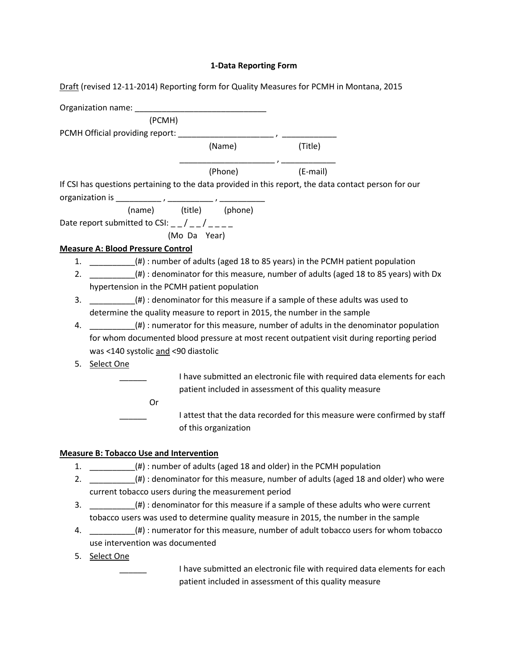## **1-Data Reporting Form**

Draft (revised 12-11-2014) Reporting form for Quality Measures for PCMH in Montana, 2015

|    | (PCMH)                                                                                     |                                                                                                      |          |                                                                          |
|----|--------------------------------------------------------------------------------------------|------------------------------------------------------------------------------------------------------|----------|--------------------------------------------------------------------------|
|    |                                                                                            |                                                                                                      |          |                                                                          |
|    |                                                                                            | (Name)                                                                                               | (Title)  |                                                                          |
|    |                                                                                            | (Phone)                                                                                              | (E-mail) |                                                                          |
|    |                                                                                            | If CSI has questions pertaining to the data provided in this report, the data contact person for our |          |                                                                          |
|    |                                                                                            |                                                                                                      |          |                                                                          |
|    |                                                                                            | (name) (title) (phone)                                                                               |          |                                                                          |
|    | Date report submitted to CSI: $_{-}/$ $_{-}/$                                              |                                                                                                      |          |                                                                          |
|    |                                                                                            | (Mo Da Year)                                                                                         |          |                                                                          |
|    | <b>Measure A: Blood Pressure Control</b>                                                   |                                                                                                      |          |                                                                          |
| 1. |                                                                                            | (#) : number of adults (aged 18 to 85 years) in the PCMH patient population                          |          |                                                                          |
| 2. | (#) : denominator for this measure, number of adults (aged 18 to 85 years) with Dx         |                                                                                                      |          |                                                                          |
|    | hypertension in the PCMH patient population                                                |                                                                                                      |          |                                                                          |
| 3. | (#) : denominator for this measure if a sample of these adults was used to                 |                                                                                                      |          |                                                                          |
|    | determine the quality measure to report in 2015, the number in the sample                  |                                                                                                      |          |                                                                          |
| 4. | $(\#):$ numerator for this measure, number of adults in the denominator population         |                                                                                                      |          |                                                                          |
|    | for whom documented blood pressure at most recent outpatient visit during reporting period |                                                                                                      |          |                                                                          |
|    | was <140 systolic and <90 diastolic                                                        |                                                                                                      |          |                                                                          |
| 5. | Select One                                                                                 |                                                                                                      |          |                                                                          |
|    |                                                                                            |                                                                                                      |          | I have submitted an electronic file with required data elements for each |
|    |                                                                                            | patient included in assessment of this quality measure                                               |          |                                                                          |
|    | Or                                                                                         |                                                                                                      |          |                                                                          |
|    |                                                                                            |                                                                                                      |          | I attest that the data recorded for this measure were confirmed by staff |
|    |                                                                                            | of this organization                                                                                 |          |                                                                          |

## **Measure B: Tobacco Use and Intervention**

- 1. \_\_\_\_\_\_\_\_\_\_(#) : number of adults (aged 18 and older) in the PCMH population
- 2. \_\_\_\_\_\_\_\_\_\_\_\_\_(#) : denominator for this measure, number of adults (aged 18 and older) who were current tobacco users during the measurement period
- 3. \_\_\_\_\_\_\_\_\_\_(#) : denominator for this measure if a sample of these adults who were current tobacco users was used to determine quality measure in 2015, the number in the sample
- 4.  $(*)$  : numerator for this measure, number of adult tobacco users for whom tobacco use intervention was documented
- 5. Select One

I have submitted an electronic file with required data elements for each patient included in assessment of this quality measure